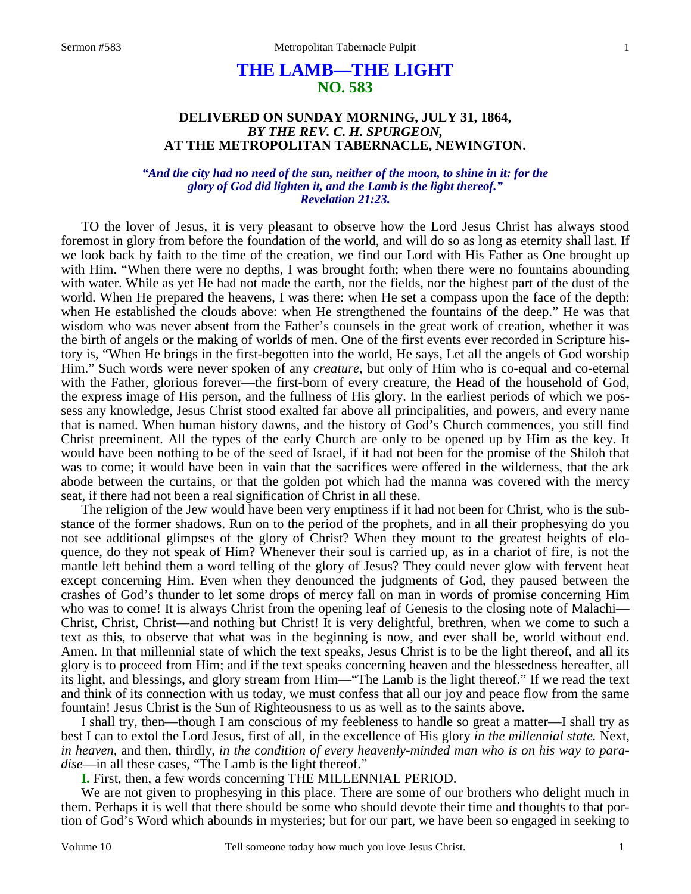# **THE LAMB—THE LIGHT NO. 583**

## **DELIVERED ON SUNDAY MORNING, JULY 31, 1864,**  *BY THE REV. C. H. SPURGEON,*  **AT THE METROPOLITAN TABERNACLE, NEWINGTON.**

#### *"And the city had no need of the sun, neither of the moon, to shine in it: for the glory of God did lighten it, and the Lamb is the light thereof." Revelation 21:23.*

TO the lover of Jesus, it is very pleasant to observe how the Lord Jesus Christ has always stood foremost in glory from before the foundation of the world, and will do so as long as eternity shall last. If we look back by faith to the time of the creation, we find our Lord with His Father as One brought up with Him. "When there were no depths, I was brought forth; when there were no fountains abounding with water. While as yet He had not made the earth, nor the fields, nor the highest part of the dust of the world. When He prepared the heavens, I was there: when He set a compass upon the face of the depth: when He established the clouds above: when He strengthened the fountains of the deep." He was that wisdom who was never absent from the Father's counsels in the great work of creation, whether it was the birth of angels or the making of worlds of men. One of the first events ever recorded in Scripture history is, "When He brings in the first-begotten into the world, He says, Let all the angels of God worship Him." Such words were never spoken of any *creature*, but only of Him who is co-equal and co-eternal with the Father, glorious forever—the first-born of every creature, the Head of the household of God, the express image of His person, and the fullness of His glory. In the earliest periods of which we possess any knowledge, Jesus Christ stood exalted far above all principalities, and powers, and every name that is named. When human history dawns, and the history of God's Church commences, you still find Christ preeminent. All the types of the early Church are only to be opened up by Him as the key. It would have been nothing to be of the seed of Israel, if it had not been for the promise of the Shiloh that was to come; it would have been in vain that the sacrifices were offered in the wilderness, that the ark abode between the curtains, or that the golden pot which had the manna was covered with the mercy seat, if there had not been a real signification of Christ in all these.

The religion of the Jew would have been very emptiness if it had not been for Christ, who is the substance of the former shadows. Run on to the period of the prophets, and in all their prophesying do you not see additional glimpses of the glory of Christ? When they mount to the greatest heights of eloquence, do they not speak of Him? Whenever their soul is carried up, as in a chariot of fire, is not the mantle left behind them a word telling of the glory of Jesus? They could never glow with fervent heat except concerning Him. Even when they denounced the judgments of God, they paused between the crashes of God's thunder to let some drops of mercy fall on man in words of promise concerning Him who was to come! It is always Christ from the opening leaf of Genesis to the closing note of Malachi— Christ, Christ, Christ—and nothing but Christ! It is very delightful, brethren, when we come to such a text as this, to observe that what was in the beginning is now, and ever shall be, world without end. Amen. In that millennial state of which the text speaks, Jesus Christ is to be the light thereof, and all its glory is to proceed from Him; and if the text speaks concerning heaven and the blessedness hereafter, all its light, and blessings, and glory stream from Him—"The Lamb is the light thereof." If we read the text and think of its connection with us today, we must confess that all our joy and peace flow from the same fountain! Jesus Christ is the Sun of Righteousness to us as well as to the saints above.

I shall try, then—though I am conscious of my feebleness to handle so great a matter—I shall try as best I can to extol the Lord Jesus, first of all, in the excellence of His glory *in the millennial state.* Next, *in heaven,* and then, thirdly, *in the condition of every heavenly-minded man who is on his way to paradise*—in all these cases, "The Lamb is the light thereof."

**I.** First, then, a few words concerning THE MILLENNIAL PERIOD.

We are not given to prophesying in this place. There are some of our brothers who delight much in them. Perhaps it is well that there should be some who should devote their time and thoughts to that portion of God's Word which abounds in mysteries; but for our part, we have been so engaged in seeking to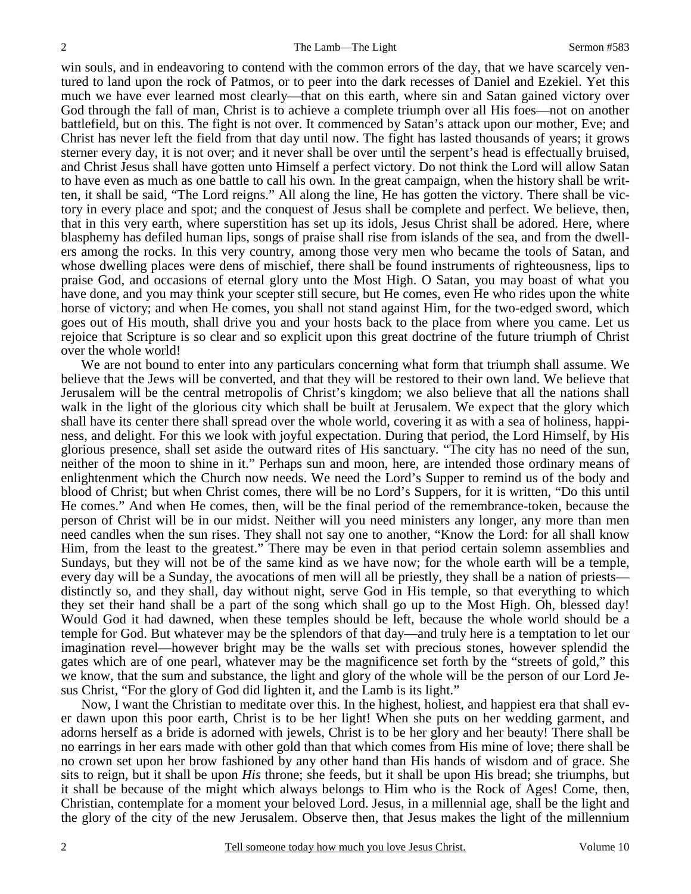win souls, and in endeavoring to contend with the common errors of the day, that we have scarcely ventured to land upon the rock of Patmos, or to peer into the dark recesses of Daniel and Ezekiel. Yet this much we have ever learned most clearly—that on this earth, where sin and Satan gained victory over God through the fall of man, Christ is to achieve a complete triumph over all His foes—not on another battlefield, but on this. The fight is not over. It commenced by Satan's attack upon our mother, Eve; and Christ has never left the field from that day until now. The fight has lasted thousands of years; it grows sterner every day, it is not over; and it never shall be over until the serpent's head is effectually bruised, and Christ Jesus shall have gotten unto Himself a perfect victory. Do not think the Lord will allow Satan to have even as much as one battle to call his own. In the great campaign, when the history shall be written, it shall be said, "The Lord reigns." All along the line, He has gotten the victory. There shall be victory in every place and spot; and the conquest of Jesus shall be complete and perfect. We believe, then, that in this very earth, where superstition has set up its idols, Jesus Christ shall be adored. Here, where blasphemy has defiled human lips, songs of praise shall rise from islands of the sea, and from the dwellers among the rocks. In this very country, among those very men who became the tools of Satan, and whose dwelling places were dens of mischief, there shall be found instruments of righteousness, lips to praise God, and occasions of eternal glory unto the Most High. O Satan, you may boast of what you have done, and you may think your scepter still secure, but He comes, even He who rides upon the white horse of victory; and when He comes, you shall not stand against Him, for the two-edged sword, which goes out of His mouth, shall drive you and your hosts back to the place from where you came. Let us rejoice that Scripture is so clear and so explicit upon this great doctrine of the future triumph of Christ over the whole world!

We are not bound to enter into any particulars concerning what form that triumph shall assume. We believe that the Jews will be converted, and that they will be restored to their own land. We believe that Jerusalem will be the central metropolis of Christ's kingdom; we also believe that all the nations shall walk in the light of the glorious city which shall be built at Jerusalem. We expect that the glory which shall have its center there shall spread over the whole world, covering it as with a sea of holiness, happiness, and delight. For this we look with joyful expectation. During that period, the Lord Himself, by His glorious presence, shall set aside the outward rites of His sanctuary. "The city has no need of the sun, neither of the moon to shine in it." Perhaps sun and moon, here, are intended those ordinary means of enlightenment which the Church now needs. We need the Lord's Supper to remind us of the body and blood of Christ; but when Christ comes, there will be no Lord's Suppers, for it is written, "Do this until He comes." And when He comes, then, will be the final period of the remembrance-token, because the person of Christ will be in our midst. Neither will you need ministers any longer, any more than men need candles when the sun rises. They shall not say one to another, "Know the Lord: for all shall know Him, from the least to the greatest." There may be even in that period certain solemn assemblies and Sundays, but they will not be of the same kind as we have now; for the whole earth will be a temple, every day will be a Sunday, the avocations of men will all be priestly, they shall be a nation of priests distinctly so, and they shall, day without night, serve God in His temple, so that everything to which they set their hand shall be a part of the song which shall go up to the Most High. Oh, blessed day! Would God it had dawned, when these temples should be left, because the whole world should be a temple for God. But whatever may be the splendors of that day—and truly here is a temptation to let our imagination revel—however bright may be the walls set with precious stones, however splendid the gates which are of one pearl, whatever may be the magnificence set forth by the "streets of gold," this we know, that the sum and substance, the light and glory of the whole will be the person of our Lord Jesus Christ, "For the glory of God did lighten it, and the Lamb is its light."

Now, I want the Christian to meditate over this. In the highest, holiest, and happiest era that shall ever dawn upon this poor earth, Christ is to be her light! When she puts on her wedding garment, and adorns herself as a bride is adorned with jewels, Christ is to be her glory and her beauty! There shall be no earrings in her ears made with other gold than that which comes from His mine of love; there shall be no crown set upon her brow fashioned by any other hand than His hands of wisdom and of grace. She sits to reign, but it shall be upon *His* throne; she feeds, but it shall be upon His bread; she triumphs, but it shall be because of the might which always belongs to Him who is the Rock of Ages! Come, then, Christian, contemplate for a moment your beloved Lord. Jesus, in a millennial age, shall be the light and the glory of the city of the new Jerusalem. Observe then, that Jesus makes the light of the millennium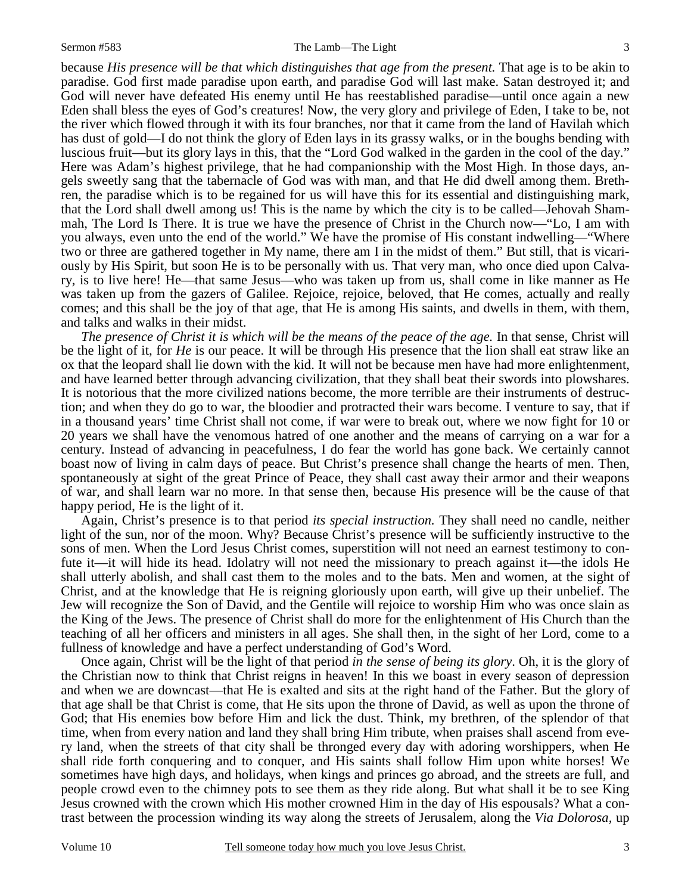because *His presence will be that which distinguishes that age from the present*. That age is to be akin to paradise. God first made paradise upon earth, and paradise God will last make. Satan destroyed it; and God will never have defeated His enemy until He has reestablished paradise—until once again a new Eden shall bless the eyes of God's creatures! Now, the very glory and privilege of Eden, I take to be, not the river which flowed through it with its four branches, nor that it came from the land of Havilah which has dust of gold—I do not think the glory of Eden lays in its grassy walks, or in the boughs bending with luscious fruit—but its glory lays in this, that the "Lord God walked in the garden in the cool of the day." Here was Adam's highest privilege, that he had companionship with the Most High. In those days, angels sweetly sang that the tabernacle of God was with man, and that He did dwell among them. Brethren, the paradise which is to be regained for us will have this for its essential and distinguishing mark, that the Lord shall dwell among us! This is the name by which the city is to be called—Jehovah Shammah, The Lord Is There. It is true we have the presence of Christ in the Church now—"Lo, I am with you always, even unto the end of the world." We have the promise of His constant indwelling—"Where two or three are gathered together in My name, there am I in the midst of them." But still, that is vicariously by His Spirit, but soon He is to be personally with us. That very man, who once died upon Calvary, is to live here! He—that same Jesus—who was taken up from us, shall come in like manner as He was taken up from the gazers of Galilee. Rejoice, rejoice, beloved, that He comes, actually and really comes; and this shall be the joy of that age, that He is among His saints, and dwells in them, with them, and talks and walks in their midst.

*The presence of Christ it is which will be the means of the peace of the age.* In that sense, Christ will be the light of it, for *He* is our peace. It will be through His presence that the lion shall eat straw like an ox that the leopard shall lie down with the kid. It will not be because men have had more enlightenment, and have learned better through advancing civilization, that they shall beat their swords into plowshares. It is notorious that the more civilized nations become, the more terrible are their instruments of destruction; and when they do go to war, the bloodier and protracted their wars become. I venture to say, that if in a thousand years' time Christ shall not come, if war were to break out, where we now fight for 10 or 20 years we shall have the venomous hatred of one another and the means of carrying on a war for a century. Instead of advancing in peacefulness, I do fear the world has gone back. We certainly cannot boast now of living in calm days of peace. But Christ's presence shall change the hearts of men. Then, spontaneously at sight of the great Prince of Peace, they shall cast away their armor and their weapons of war, and shall learn war no more. In that sense then, because His presence will be the cause of that happy period, He is the light of it.

Again, Christ's presence is to that period *its special instruction.* They shall need no candle, neither light of the sun, nor of the moon. Why? Because Christ's presence will be sufficiently instructive to the sons of men. When the Lord Jesus Christ comes, superstition will not need an earnest testimony to confute it—it will hide its head. Idolatry will not need the missionary to preach against it—the idols He shall utterly abolish, and shall cast them to the moles and to the bats. Men and women, at the sight of Christ, and at the knowledge that He is reigning gloriously upon earth, will give up their unbelief. The Jew will recognize the Son of David, and the Gentile will rejoice to worship Him who was once slain as the King of the Jews. The presence of Christ shall do more for the enlightenment of His Church than the teaching of all her officers and ministers in all ages. She shall then, in the sight of her Lord, come to a fullness of knowledge and have a perfect understanding of God's Word.

Once again, Christ will be the light of that period *in the sense of being its glory*. Oh, it is the glory of the Christian now to think that Christ reigns in heaven! In this we boast in every season of depression and when we are downcast—that He is exalted and sits at the right hand of the Father. But the glory of that age shall be that Christ is come, that He sits upon the throne of David, as well as upon the throne of God; that His enemies bow before Him and lick the dust. Think, my brethren, of the splendor of that time, when from every nation and land they shall bring Him tribute, when praises shall ascend from every land, when the streets of that city shall be thronged every day with adoring worshippers, when He shall ride forth conquering and to conquer, and His saints shall follow Him upon white horses! We sometimes have high days, and holidays, when kings and princes go abroad, and the streets are full, and people crowd even to the chimney pots to see them as they ride along. But what shall it be to see King Jesus crowned with the crown which His mother crowned Him in the day of His espousals? What a contrast between the procession winding its way along the streets of Jerusalem, along the *Via Dolorosa,* up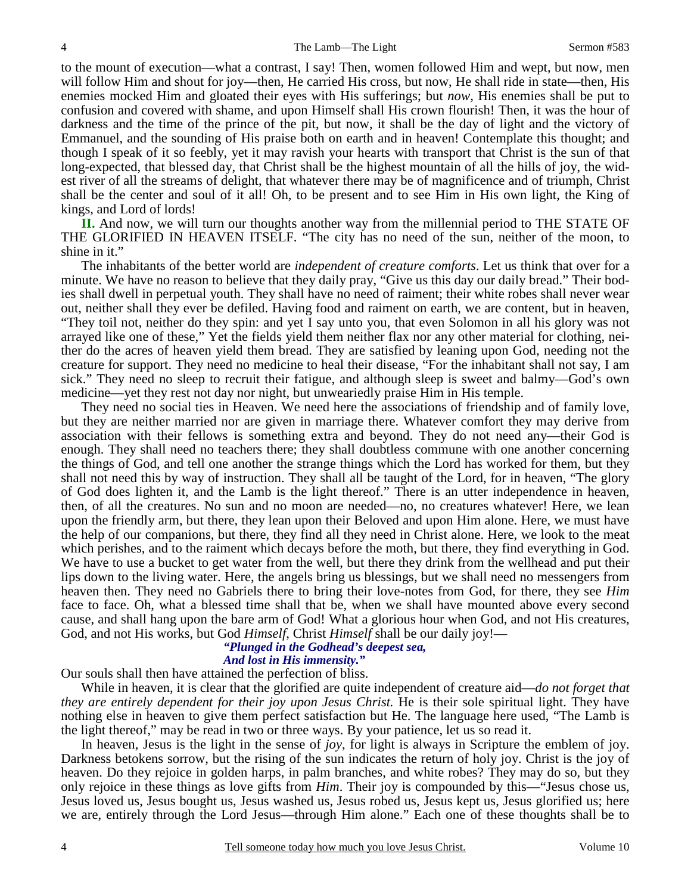to the mount of execution—what a contrast, I say! Then, women followed Him and wept, but now, men will follow Him and shout for joy—then, He carried His cross, but now, He shall ride in state—then, His enemies mocked Him and gloated their eyes with His sufferings; but *now,* His enemies shall be put to confusion and covered with shame, and upon Himself shall His crown flourish! Then, it was the hour of darkness and the time of the prince of the pit, but now, it shall be the day of light and the victory of Emmanuel, and the sounding of His praise both on earth and in heaven! Contemplate this thought; and though I speak of it so feebly, yet it may ravish your hearts with transport that Christ is the sun of that long-expected, that blessed day, that Christ shall be the highest mountain of all the hills of joy, the widest river of all the streams of delight, that whatever there may be of magnificence and of triumph, Christ shall be the center and soul of it all! Oh, to be present and to see Him in His own light, the King of kings, and Lord of lords!

**II.** And now, we will turn our thoughts another way from the millennial period to THE STATE OF THE GLORIFIED IN HEAVEN ITSELF. "The city has no need of the sun, neither of the moon, to shine in it."

The inhabitants of the better world are *independent of creature comforts*. Let us think that over for a minute. We have no reason to believe that they daily pray, "Give us this day our daily bread." Their bodies shall dwell in perpetual youth. They shall have no need of raiment; their white robes shall never wear out, neither shall they ever be defiled. Having food and raiment on earth, we are content, but in heaven, "They toil not, neither do they spin: and yet I say unto you, that even Solomon in all his glory was not arrayed like one of these," Yet the fields yield them neither flax nor any other material for clothing, neither do the acres of heaven yield them bread. They are satisfied by leaning upon God, needing not the creature for support. They need no medicine to heal their disease, "For the inhabitant shall not say, I am sick." They need no sleep to recruit their fatigue, and although sleep is sweet and balmy—God's own medicine—yet they rest not day nor night, but unweariedly praise Him in His temple.

They need no social ties in Heaven. We need here the associations of friendship and of family love, but they are neither married nor are given in marriage there. Whatever comfort they may derive from association with their fellows is something extra and beyond. They do not need any—their God is enough. They shall need no teachers there; they shall doubtless commune with one another concerning the things of God, and tell one another the strange things which the Lord has worked for them, but they shall not need this by way of instruction. They shall all be taught of the Lord, for in heaven, "The glory of God does lighten it, and the Lamb is the light thereof." There is an utter independence in heaven, then, of all the creatures. No sun and no moon are needed—no, no creatures whatever! Here, we lean upon the friendly arm, but there, they lean upon their Beloved and upon Him alone. Here, we must have the help of our companions, but there, they find all they need in Christ alone. Here, we look to the meat which perishes, and to the raiment which decays before the moth, but there, they find everything in God. We have to use a bucket to get water from the well, but there they drink from the wellhead and put their lips down to the living water. Here, the angels bring us blessings, but we shall need no messengers from heaven then. They need no Gabriels there to bring their love-notes from God, for there, they see *Him* face to face. Oh, what a blessed time shall that be, when we shall have mounted above every second cause, and shall hang upon the bare arm of God! What a glorious hour when God, and not His creatures, God, and not His works, but God *Himself*, Christ *Himself* shall be our daily joy!—

# *"Plunged in the Godhead's deepest sea,*

## *And lost in His immensity."*

Our souls shall then have attained the perfection of bliss.

While in heaven, it is clear that the glorified are quite independent of creature aid—*do not forget that they are entirely dependent for their joy upon Jesus Christ.* He is their sole spiritual light. They have nothing else in heaven to give them perfect satisfaction but He. The language here used, "The Lamb is the light thereof," may be read in two or three ways. By your patience, let us so read it.

In heaven, Jesus is the light in the sense of *joy*, for light is always in Scripture the emblem of joy. Darkness betokens sorrow, but the rising of the sun indicates the return of holy joy. Christ is the joy of heaven. Do they rejoice in golden harps, in palm branches, and white robes? They may do so, but they only rejoice in these things as love gifts from *Him*. Their joy is compounded by this—"Jesus chose us, Jesus loved us, Jesus bought us, Jesus washed us, Jesus robed us, Jesus kept us, Jesus glorified us; here we are, entirely through the Lord Jesus—through Him alone." Each one of these thoughts shall be to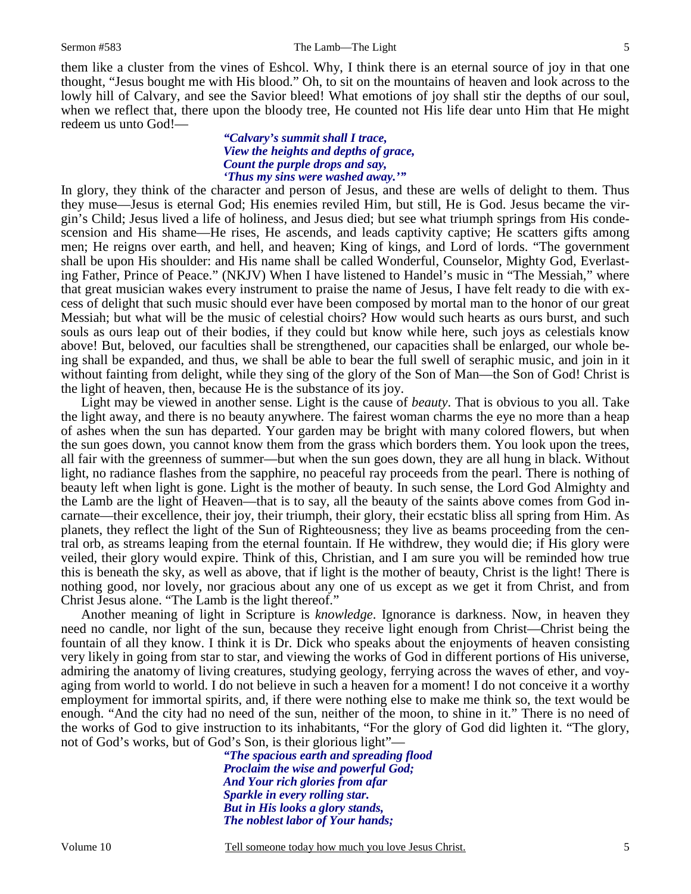5

them like a cluster from the vines of Eshcol. Why, I think there is an eternal source of joy in that one thought, "Jesus bought me with His blood." Oh, to sit on the mountains of heaven and look across to the lowly hill of Calvary, and see the Savior bleed! What emotions of joy shall stir the depths of our soul, when we reflect that, there upon the bloody tree, He counted not His life dear unto Him that He might redeem us unto God!—

## *"Calvary's summit shall I trace, View the heights and depths of grace, Count the purple drops and say, 'Thus my sins were washed away.'"*

In glory, they think of the character and person of Jesus, and these are wells of delight to them. Thus they muse—Jesus is eternal God; His enemies reviled Him, but still, He is God. Jesus became the virgin's Child; Jesus lived a life of holiness, and Jesus died; but see what triumph springs from His condescension and His shame—He rises, He ascends, and leads captivity captive; He scatters gifts among men; He reigns over earth, and hell, and heaven; King of kings, and Lord of lords. "The government shall be upon His shoulder: and His name shall be called Wonderful, Counselor, Mighty God, Everlasting Father, Prince of Peace." (NKJV) When I have listened to Handel's music in "The Messiah," where that great musician wakes every instrument to praise the name of Jesus, I have felt ready to die with excess of delight that such music should ever have been composed by mortal man to the honor of our great Messiah; but what will be the music of celestial choirs? How would such hearts as ours burst, and such souls as ours leap out of their bodies, if they could but know while here, such joys as celestials know above! But, beloved, our faculties shall be strengthened, our capacities shall be enlarged, our whole being shall be expanded, and thus, we shall be able to bear the full swell of seraphic music, and join in it without fainting from delight, while they sing of the glory of the Son of Man—the Son of God! Christ is the light of heaven, then, because He is the substance of its joy.

Light may be viewed in another sense. Light is the cause of *beauty*. That is obvious to you all. Take the light away, and there is no beauty anywhere. The fairest woman charms the eye no more than a heap of ashes when the sun has departed. Your garden may be bright with many colored flowers, but when the sun goes down, you cannot know them from the grass which borders them. You look upon the trees, all fair with the greenness of summer—but when the sun goes down, they are all hung in black. Without light, no radiance flashes from the sapphire, no peaceful ray proceeds from the pearl. There is nothing of beauty left when light is gone. Light is the mother of beauty. In such sense, the Lord God Almighty and the Lamb are the light of Heaven—that is to say, all the beauty of the saints above comes from God incarnate—their excellence, their joy, their triumph, their glory, their ecstatic bliss all spring from Him. As planets, they reflect the light of the Sun of Righteousness; they live as beams proceeding from the central orb, as streams leaping from the eternal fountain. If He withdrew, they would die; if His glory were veiled, their glory would expire. Think of this, Christian, and I am sure you will be reminded how true this is beneath the sky, as well as above, that if light is the mother of beauty, Christ is the light! There is nothing good, nor lovely, nor gracious about any one of us except as we get it from Christ, and from Christ Jesus alone. "The Lamb is the light thereof."

Another meaning of light in Scripture is *knowledge*. Ignorance is darkness. Now, in heaven they need no candle, nor light of the sun, because they receive light enough from Christ—Christ being the fountain of all they know. I think it is Dr. Dick who speaks about the enjoyments of heaven consisting very likely in going from star to star, and viewing the works of God in different portions of His universe, admiring the anatomy of living creatures, studying geology, ferrying across the waves of ether, and voyaging from world to world. I do not believe in such a heaven for a moment! I do not conceive it a worthy employment for immortal spirits, and, if there were nothing else to make me think so, the text would be enough. "And the city had no need of the sun, neither of the moon, to shine in it." There is no need of the works of God to give instruction to its inhabitants, "For the glory of God did lighten it. "The glory, not of God's works, but of God's Son, is their glorious light"—

> *"The spacious earth and spreading flood Proclaim the wise and powerful God; And Your rich glories from afar Sparkle in every rolling star. But in His looks a glory stands, The noblest labor of Your hands;*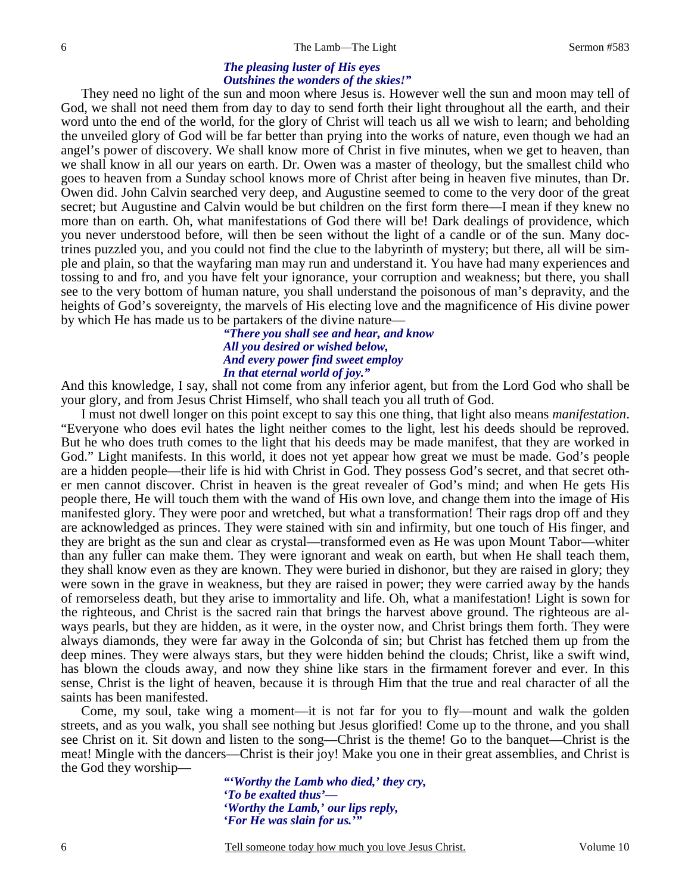# *The pleasing luster of His eyes Outshines the wonders of the skies!"*

They need no light of the sun and moon where Jesus is. However well the sun and moon may tell of God, we shall not need them from day to day to send forth their light throughout all the earth, and their word unto the end of the world, for the glory of Christ will teach us all we wish to learn; and beholding the unveiled glory of God will be far better than prying into the works of nature, even though we had an angel's power of discovery. We shall know more of Christ in five minutes, when we get to heaven, than we shall know in all our years on earth. Dr. Owen was a master of theology, but the smallest child who goes to heaven from a Sunday school knows more of Christ after being in heaven five minutes, than Dr. Owen did. John Calvin searched very deep, and Augustine seemed to come to the very door of the great secret; but Augustine and Calvin would be but children on the first form there—I mean if they knew no more than on earth. Oh, what manifestations of God there will be! Dark dealings of providence, which you never understood before, will then be seen without the light of a candle or of the sun. Many doctrines puzzled you, and you could not find the clue to the labyrinth of mystery; but there, all will be simple and plain, so that the wayfaring man may run and understand it. You have had many experiences and tossing to and fro, and you have felt your ignorance, your corruption and weakness; but there, you shall see to the very bottom of human nature, you shall understand the poisonous of man's depravity, and the heights of God's sovereignty, the marvels of His electing love and the magnificence of His divine power by which He has made us to be partakers of the divine nature—

### *"There you shall see and hear, and know All you desired or wished below, And every power find sweet employ In that eternal world of joy."*

And this knowledge, I say, shall not come from any inferior agent, but from the Lord God who shall be your glory, and from Jesus Christ Himself, who shall teach you all truth of God.

I must not dwell longer on this point except to say this one thing, that light also means *manifestation*. "Everyone who does evil hates the light neither comes to the light, lest his deeds should be reproved. But he who does truth comes to the light that his deeds may be made manifest, that they are worked in God." Light manifests. In this world, it does not yet appear how great we must be made. God's people are a hidden people—their life is hid with Christ in God. They possess God's secret, and that secret other men cannot discover. Christ in heaven is the great revealer of God's mind; and when He gets His people there, He will touch them with the wand of His own love, and change them into the image of His manifested glory. They were poor and wretched, but what a transformation! Their rags drop off and they are acknowledged as princes. They were stained with sin and infirmity, but one touch of His finger, and they are bright as the sun and clear as crystal—transformed even as He was upon Mount Tabor—whiter than any fuller can make them. They were ignorant and weak on earth, but when He shall teach them, they shall know even as they are known. They were buried in dishonor, but they are raised in glory; they were sown in the grave in weakness, but they are raised in power; they were carried away by the hands of remorseless death, but they arise to immortality and life. Oh, what a manifestation! Light is sown for the righteous, and Christ is the sacred rain that brings the harvest above ground. The righteous are always pearls, but they are hidden, as it were, in the oyster now, and Christ brings them forth. They were always diamonds, they were far away in the Golconda of sin; but Christ has fetched them up from the deep mines. They were always stars, but they were hidden behind the clouds; Christ, like a swift wind, has blown the clouds away, and now they shine like stars in the firmament forever and ever. In this sense, Christ is the light of heaven, because it is through Him that the true and real character of all the saints has been manifested.

Come, my soul, take wing a moment—it is not far for you to fly—mount and walk the golden streets, and as you walk, you shall see nothing but Jesus glorified! Come up to the throne, and you shall see Christ on it. Sit down and listen to the song—Christ is the theme! Go to the banquet—Christ is the meat! Mingle with the dancers—Christ is their joy! Make you one in their great assemblies, and Christ is the God they worship—

> *"'Worthy the Lamb who died,' they cry, 'To be exalted thus'— 'Worthy the Lamb,' our lips reply, 'For He was slain for us.'"*

Tell someone today how much you love Jesus Christ. Volume 10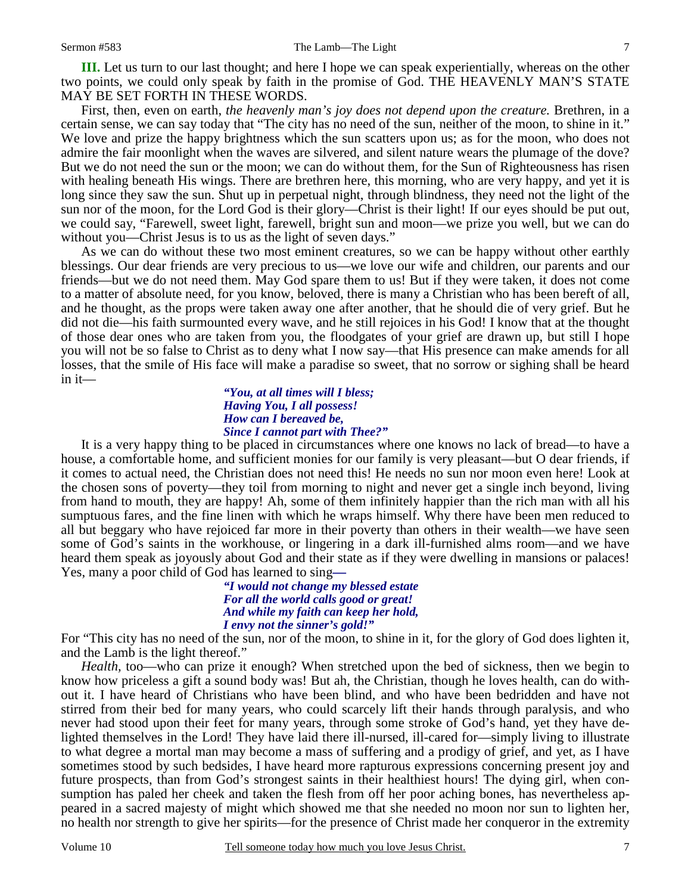**III.** Let us turn to our last thought; and here I hope we can speak experientially, whereas on the other two points, we could only speak by faith in the promise of God. THE HEAVENLY MAN'S STATE MAY BE SET FORTH IN THESE WORDS.

First, then, even on earth, *the heavenly man's joy does not depend upon the creature.* Brethren, in a certain sense, we can say today that "The city has no need of the sun, neither of the moon, to shine in it." We love and prize the happy brightness which the sun scatters upon us; as for the moon, who does not admire the fair moonlight when the waves are silvered, and silent nature wears the plumage of the dove? But we do not need the sun or the moon; we can do without them, for the Sun of Righteousness has risen with healing beneath His wings. There are brethren here, this morning, who are very happy, and yet it is long since they saw the sun. Shut up in perpetual night, through blindness, they need not the light of the sun nor of the moon, for the Lord God is their glory—Christ is their light! If our eyes should be put out, we could say, "Farewell, sweet light, farewell, bright sun and moon—we prize you well, but we can do without you—Christ Jesus is to us as the light of seven days."

As we can do without these two most eminent creatures, so we can be happy without other earthly blessings. Our dear friends are very precious to us—we love our wife and children, our parents and our friends—but we do not need them. May God spare them to us! But if they were taken, it does not come to a matter of absolute need, for you know, beloved, there is many a Christian who has been bereft of all, and he thought, as the props were taken away one after another, that he should die of very grief. But he did not die—his faith surmounted every wave, and he still rejoices in his God! I know that at the thought of those dear ones who are taken from you, the floodgates of your grief are drawn up, but still I hope you will not be so false to Christ as to deny what I now say—that His presence can make amends for all losses, that the smile of His face will make a paradise so sweet, that no sorrow or sighing shall be heard in it—

#### *"You, at all times will I bless; Having You, I all possess! How can I bereaved be, Since I cannot part with Thee?"*

It is a very happy thing to be placed in circumstances where one knows no lack of bread—to have a house, a comfortable home, and sufficient monies for our family is very pleasant—but O dear friends, if it comes to actual need, the Christian does not need this! He needs no sun nor moon even here! Look at the chosen sons of poverty—they toil from morning to night and never get a single inch beyond, living from hand to mouth, they are happy! Ah, some of them infinitely happier than the rich man with all his sumptuous fares, and the fine linen with which he wraps himself. Why there have been men reduced to all but beggary who have rejoiced far more in their poverty than others in their wealth—we have seen some of God's saints in the workhouse, or lingering in a dark ill-furnished alms room—and we have heard them speak as joyously about God and their state as if they were dwelling in mansions or palaces! Yes, many a poor child of God has learned to sing*—* 

> *"I would not change my blessed estate For all the world calls good or great! And while my faith can keep her hold, I envy not the sinner's gold!"*

For "This city has no need of the sun, nor of the moon, to shine in it, for the glory of God does lighten it, and the Lamb is the light thereof."

*Health,* too—who can prize it enough? When stretched upon the bed of sickness, then we begin to know how priceless a gift a sound body was! But ah, the Christian, though he loves health, can do without it. I have heard of Christians who have been blind, and who have been bedridden and have not stirred from their bed for many years, who could scarcely lift their hands through paralysis, and who never had stood upon their feet for many years, through some stroke of God's hand, yet they have delighted themselves in the Lord! They have laid there ill-nursed, ill-cared for—simply living to illustrate to what degree a mortal man may become a mass of suffering and a prodigy of grief, and yet, as I have sometimes stood by such bedsides, I have heard more rapturous expressions concerning present joy and future prospects, than from God's strongest saints in their healthiest hours! The dying girl, when consumption has paled her cheek and taken the flesh from off her poor aching bones, has nevertheless appeared in a sacred majesty of might which showed me that she needed no moon nor sun to lighten her, no health nor strength to give her spirits—for the presence of Christ made her conqueror in the extremity